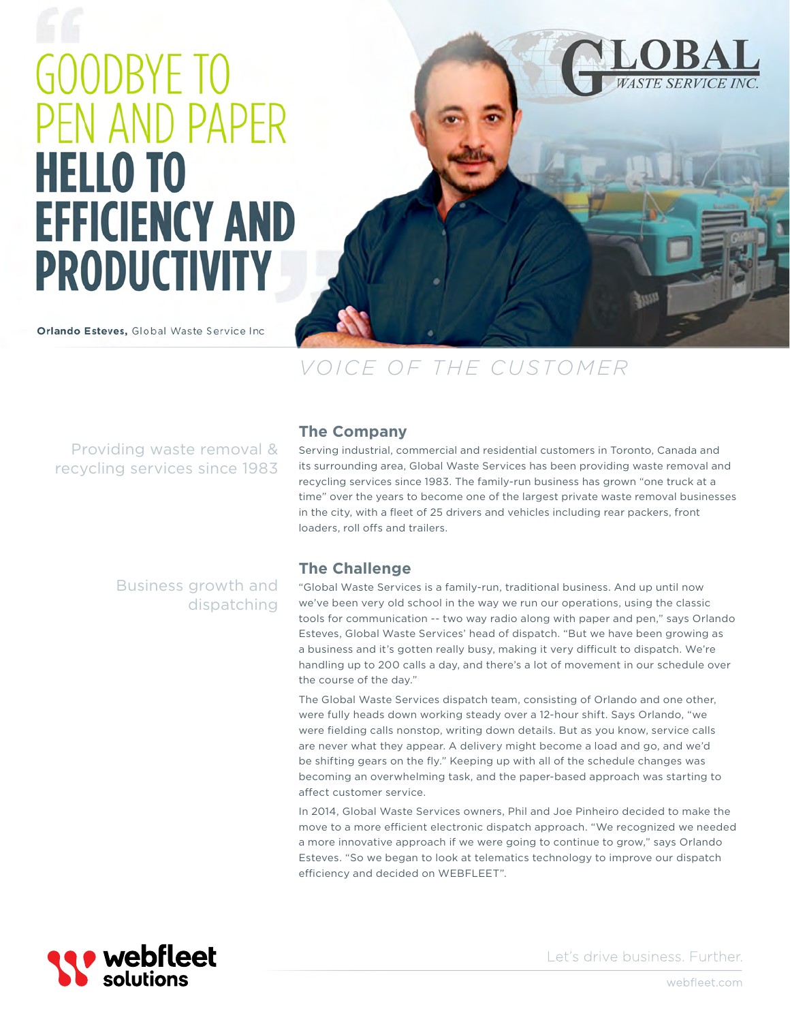# **GOODBYE TO** PEN AND PAPER **HELLO TO EFFICIENCY AND PRODUCTIVITY**

Orlando Esteves, Global Waste Service Inc



# *VOICE OF THE CUSTOMER*

Providing waste removal & recycling services since 1983

Business growth and

dispatching

### **The Company**

Serving industrial, commercial and residential customers in Toronto, Canada and its surrounding area, Global Waste Services has been providing waste removal and recycling services since 1983. The family-run business has grown "one truck at a time" over the years to become one of the largest private waste removal businesses in the city, with a fleet of 25 drivers and vehicles including rear packers, front loaders, roll offs and trailers.

## **The Challenge**

"Global Waste Services is a family-run, traditional business. And up until now we've been very old school in the way we run our operations, using the classic tools for communication -- two way radio along with paper and pen," says Orlando Esteves, Global Waste Services' head of dispatch. "But we have been growing as a business and it's gotten really busy, making it very difficult to dispatch. We're handling up to 200 calls a day, and there's a lot of movement in our schedule over the course of the day."

The Global Waste Services dispatch team, consisting of Orlando and one other, were fully heads down working steady over a 12-hour shift. Says Orlando, "we were fielding calls nonstop, writing down details. But as you know, service calls are never what they appear. A delivery might become a load and go, and we'd be shifting gears on the fly." Keeping up with all of the schedule changes was becoming an overwhelming task, and the paper-based approach was starting to affect customer service.

In 2014, Global Waste Services owners, Phil and Joe Pinheiro decided to make the move to a more efficient electronic dispatch approach. "We recognized we needed a more innovative approach if we were going to continue to grow," says Orlando Esteves. "So we began to look at telematics technology to improve our dispatch efficiency and decided on WEBFLEET".



Let's drive business. Further.